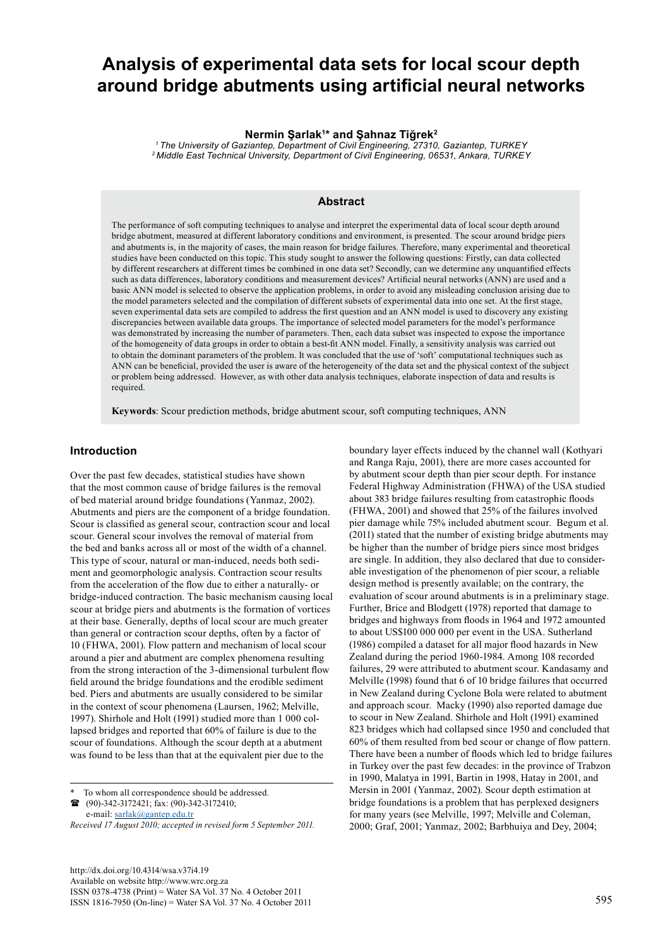# **Analysis of experimental data sets for local scour depth around bridge abutments using artificial neural networks**

#### **Nermin Şarlak<sup>1</sup> \* and Şahnaz Tiğrek<sup>2</sup>**

*1 The University of Gaziantep, Department of Civil Engineering, 27310, Gaziantep, TURKEY 2 Middle East Technical University, Department of Civil Engineering, 06531, Ankara, TURKEY*

# **Abstract**

The performance of soft computing techniques to analyse and interpret the experimental data of local scour depth around bridge abutment, measured at different laboratory conditions and environment, is presented. The scour around bridge piers and abutments is, in the majority of cases, the main reason for bridge failures. Therefore, many experimental and theoretical studies have been conducted on this topic. This study sought to answer the following questions: Firstly, can data collected by different researchers at different times be combined in one data set? Secondly, can we determine any unquantified effects such as data differences, laboratory conditions and measurement devices? Artificial neural networks (ANN) are used and a basic ANN model is selected to observe the application problems, in order to avoid any misleading conclusion arising due to the model parameters selected and the compilation of different subsets of experimental data into one set. At the first stage, seven experimental data sets are compiled to address the first question and an ANN model is used to discovery any existing discrepancies between available data groups. The importance of selected model parameters for the model's performance was demonstrated by increasing the number of parameters. Then, each data subset was inspected to expose the importance of the homogeneity of data groups in order to obtain a best-fit ANN model. Finally, a sensitivity analysis was carried out to obtain the dominant parameters of the problem. It was concluded that the use of 'soft' computational techniques such as ANN can be beneficial, provided the user is aware of the heterogeneity of the data set and the physical context of the subject or problem being addressed. However, as with other data analysis techniques, elaborate inspection of data and results is required.

**Keywords**: Scour prediction methods, bridge abutment scour, soft computing techniques, ANN

## **Introduction**

Over the past few decades, statistical studies have shown that the most common cause of bridge failures is the removal of bed material around bridge foundations (Yanmaz, 2002). Abutments and piers are the component of a bridge foundation. Scour is classified as general scour, contraction scour and local scour. General scour involves the removal of material from the bed and banks across all or most of the width of a channel. This type of scour, natural or man-induced, needs both sediment and geomorphologic analysis. Contraction scour results from the acceleration of the flow due to either a naturally- or bridge-induced contraction. The basic mechanism causing local scour at bridge piers and abutments is the formation of vortices at their base. Generally, depths of local scour are much greater than general or contraction scour depths, often by a factor of 10 (FHWA, 2001). Flow pattern and mechanism of local scour around a pier and abutment are complex phenomena resulting from the strong interaction of the 3-dimensional turbulent flow field around the bridge foundations and the erodible sediment bed. Piers and abutments are usually considered to be similar in the context of scour phenomena (Laursen, 1962; Melville, 1997). Shirhole and Holt (1991) studied more than 1 000 collapsed bridges and reported that 60% of failure is due to the scour of foundations. Although the scour depth at a abutment was found to be less than that at the equivalent pier due to the

To whom all correspondence should be addressed.

<sup>2</sup> (90)-342-3172421; fax: (90)-342-3172410; e-mail: sarlak@gantep.edu.tr

*Received 17 August 2010; accepted in revised form 5 September 2011.*

<http://dx.doi.org/10.4314/wsa.v37i4.19> Available on website http://www.wrc.org.za ISSN 0378-4738 (Print) = Water SA Vol. 37 No. 4 October 2011 ISSN 1816-7950 (On-line) = Water SA Vol. 37 No. 4 October 2011 595

boundary layer effects induced by the channel wall (Kothyari and Ranga Raju, 2001), there are more cases accounted for by abutment scour depth than pier scour depth. For instance Federal Highway Administration (FHWA) of the USA studied about 383 bridge failures resulting from catastrophic floods (FHWA, 2001) and showed that 25% of the failures involved pier damage while 75% included abutment scour. Begum et al. (2011) stated that the number of existing bridge abutments may be higher than the number of bridge piers since most bridges are single. In addition, they also declared that due to considerable investigation of the phenomenon of pier scour, a reliable design method is presently available; on the contrary, the evaluation of scour around abutments is in a preliminary stage. Further, Brice and Blodgett (1978) reported that damage to bridges and highways from floods in 1964 and 1972 amounted to about US\$100 000 000 per event in the USA. Sutherland (1986) compiled a dataset for all major flood hazards in New Zealand during the period 1960-1984. Among 108 recorded failures, 29 were attributed to abutment scour. Kandasamy and Melville (1998) found that 6 of 10 bridge failures that occurred in New Zealand during Cyclone Bola were related to abutment and approach scour. Macky (1990) also reported damage due to scour in New Zealand. Shirhole and Holt (1991) examined 823 bridges which had collapsed since 1950 and concluded that 60% of them resulted from bed scour or change of flow pattern. There have been a number of floods which led to bridge failures in Turkey over the past few decades: in the province of Trabzon in 1990, Malatya in 1991, Bartin in 1998, Hatay in 2001, and Mersin in 2001 (Yanmaz, 2002). Scour depth estimation at bridge foundations is a problem that has perplexed designers for many years (see Melville, 1997; Melville and Coleman, 2000; Graf, 2001; Yanmaz, 2002; Barbhuiya and Dey, 2004;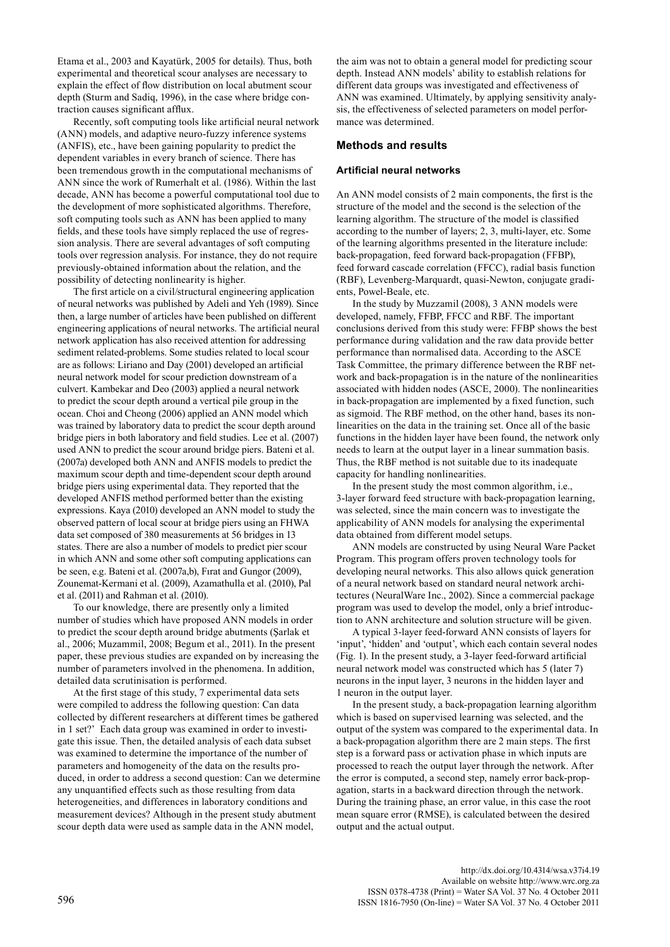Etama et al., 2003 and Kayatürk, 2005 for details). Thus, both experimental and theoretical scour analyses are necessary to explain the effect of flow distribution on local abutment scour depth (Sturm and Sadiq, 1996), in the case where bridge contraction causes significant afflux.

Recently, soft computing tools like artificial neural network (ANN) models, and adaptive neuro-fuzzy inference systems (ANFIS), etc., have been gaining popularity to predict the dependent variables in every branch of science. There has been tremendous growth in the computational mechanisms of ANN since the work of Rumerhalt et al. (1986). Within the last decade, ANN has become a powerful computational tool due to the development of more sophisticated algorithms. Therefore, soft computing tools such as ANN has been applied to many fields, and these tools have simply replaced the use of regression analysis. There are several advantages of soft computing tools over regression analysis. For instance, they do not require previously-obtained information about the relation, and the possibility of detecting nonlinearity is higher.

The first article on a civil/structural engineering application of neural networks was published by Adeli and Yeh (1989). Since then, a large number of articles have been published on different engineering applications of neural networks. The artificial neural network application has also received attention for addressing sediment related-problems. Some studies related to local scour are as follows: Liriano and Day (2001) developed an artificial neural network model for scour prediction downstream of a culvert. Kambekar and Deo (2003) applied a neural network to predict the scour depth around a vertical pile group in the ocean. Choi and Cheong (2006) applied an ANN model which was trained by laboratory data to predict the scour depth around bridge piers in both laboratory and field studies. Lee et al. (2007) used ANN to predict the scour around bridge piers. Bateni et al. (2007a) developed both ANN and ANFIS models to predict the maximum scour depth and time-dependent scour depth around bridge piers using experimental data. They reported that the developed ANFIS method performed better than the existing expressions. Kaya (2010) developed an ANN model to study the observed pattern of local scour at bridge piers using an FHWA data set composed of 380 measurements at 56 bridges in 13 states. There are also a number of models to predict pier scour in which ANN and some other soft computing applications can be seen, e.g. Bateni et al. (2007a,b), Fırat and Gungor (2009), Zounemat-Kermani et al. (2009), Azamathulla et al. (2010), Pal et al. (2011) and Rahman et al. (2010).

To our knowledge, there are presently only a limited number of studies which have proposed ANN models in order to predict the scour depth around bridge abutments (Şarlak et al., 2006; Muzammil, 2008; Begum et al., 2011). In the present paper, these previous studies are expanded on by increasing the number of parameters involved in the phenomena. In addition, detailed data scrutinisation is performed.

At the first stage of this study, 7 experimental data sets were compiled to address the following question: Can data collected by different researchers at different times be gathered in 1 set?' Each data group was examined in order to investigate this issue. Then, the detailed analysis of each data subset was examined to determine the importance of the number of parameters and homogeneity of the data on the results produced, in order to address a second question: Can we determine any unquantified effects such as those resulting from data heterogeneities, and differences in laboratory conditions and measurement devices? Although in the present study abutment scour depth data were used as sample data in the ANN model,

the aim was not to obtain a general model for predicting scour depth. Instead ANN models' ability to establish relations for different data groups was investigated and effectiveness of ANN was examined. Ultimately, by applying sensitivity analysis, the effectiveness of selected parameters on model performance was determined.

## **Methods and results**

#### **Artificial neural networks**

An ANN model consists of 2 main components, the first is the structure of the model and the second is the selection of the learning algorithm. The structure of the model is classified according to the number of layers; 2, 3, multi-layer, etc. Some of the learning algorithms presented in the literature include: back-propagation, feed forward back-propagation (FFBP), feed forward cascade correlation (FFCC), radial basis function (RBF), Levenberg-Marquardt, quasi-Newton, conjugate gradients, Powel-Beale, etc.

In the study by Muzzamil (2008), 3 ANN models were developed, namely, FFBP, FFCC and RBF. The important conclusions derived from this study were: FFBP shows the best performance during validation and the raw data provide better performance than normalised data. According to the ASCE Task Committee, the primary difference between the RBF network and back-propagation is in the nature of the nonlinearities associated with hidden nodes (ASCE, 2000). The nonlinearities in back-propagation are implemented by a fixed function, such as sigmoid. The RBF method, on the other hand, bases its nonlinearities on the data in the training set. Once all of the basic functions in the hidden layer have been found, the network only needs to learn at the output layer in a linear summation basis. Thus, the RBF method is not suitable due to its inadequate capacity for handling nonlinearities.

In the present study the most common algorithm, i.e., 3-layer forward feed structure with back-propagation learning, was selected, since the main concern was to investigate the applicability of ANN models for analysing the experimental data obtained from different model setups.

ANN models are constructed by using Neural Ware Packet Program. This program offers proven technology tools for developing neural networks. This also allows quick generation of a neural network based on standard neural network architectures (NeuralWare Inc., 2002). Since a commercial package program was used to develop the model, only a brief introduction to ANN architecture and solution structure will be given.

A typical 3-layer feed-forward ANN consists of layers for 'input', 'hidden' and 'output', which each contain several nodes (Fig. 1). In the present study, a 3-layer feed-forward artificial neural network model was constructed which has 5 (later 7) neurons in the input layer, 3 neurons in the hidden layer and 1 neuron in the output layer.

In the present study, a back-propagation learning algorithm which is based on supervised learning was selected, and the output of the system was compared to the experimental data. In a back-propagation algorithm there are 2 main steps. The first step is a forward pass or activation phase in which inputs are processed to reach the output layer through the network. After the error is computed, a second step, namely error back-propagation, starts in a backward direction through the network. During the training phase, an error value, in this case the root mean square error (RMSE), is calculated between the desired output and the actual output.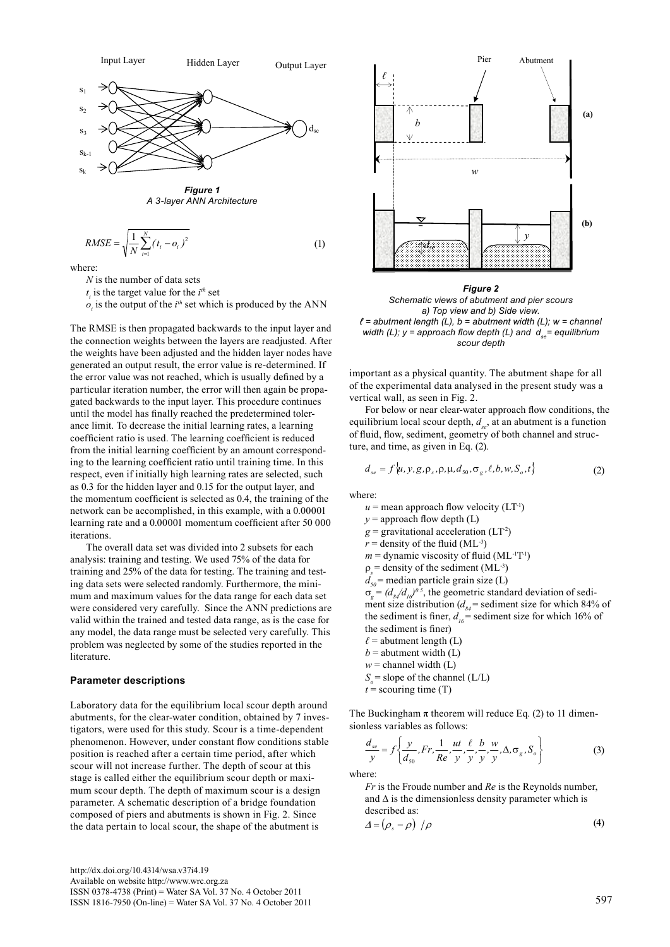

$$
RMSE = \sqrt{\frac{1}{N} \sum_{i=1}^{N} (t_i - o_i)^2}
$$
 (1)

where:

*N* is the number of data sets

 $t_i$  is the target value for the  $i^{th}$  set

 $o_i$  is the output of the  $i<sup>th</sup>$  set which is produced by the ANN

The RMSE is then propagated backwards to the input layer and the connection weights between the layers are readjusted. After the weights have been adjusted and the hidden layer nodes have generated an output result, the error value is re-determined. If the error value was not reached, which is usually defined by a particular iteration number, the error will then again be propagated backwards to the input layer. This procedure continues until the model has finally reached the predetermined tolerance limit. To decrease the initial learning rates, a learning coefficient ratio is used. The learning coefficient is reduced from the initial learning coefficient by an amount corresponding to the learning coefficient ratio until training time. In this respect, even if initially high learning rates are selected, such as 0.3 for the hidden layer and 0.15 for the output layer, and the momentum coefficient is selected as 0.4, the training of the network can be accomplished, in this example, with a 0.00001 learning rate and a 0.00001 momentum coefficient after 50 000 iterations.

The overall data set was divided into 2 subsets for each analysis: training and testing. We used 75% of the data for training and 25% of the data for testing. The training and testing data sets were selected randomly. Furthermore, the minimum and maximum values for the data range for each data set were considered very carefully. Since the ANN predictions are valid within the trained and tested data range, as is the case for any model, the data range must be selected very carefully. This problem was neglected by some of the studies reported in the literature.

#### **Parameter descriptions**

Laboratory data for the equilibrium local scour depth around abutments, for the clear-water condition, obtained by 7 investigators, were used for this study. Scour is a time-dependent phenomenon. However, under constant flow conditions stable position is reached after a certain time period, after which scour will not increase further. The depth of scour at this stage is called either the equilibrium scour depth or maximum scour depth. The depth of maximum scour is a design parameter. A schematic description of a bridge foundation composed of piers and abutments is shown in Fig. 2. Since the data pertain to local scour, the shape of the abutment is





*Figure 2 Schematic views of abutment and pier scours a) Top view and b) Side view.*  $l =$  abutment length (L),  $b =$  abutment width (L);  $w =$  channel *width (L); y = approach flow depth (L) and d<sub>se</sub> = equilibrium scour depth*

important as a physical quantity. The abutment shape for all of the experimental data analysed in the present study was a vertical wall, as seen in Fig. 2.

For below or near clear-water approach flow conditions, the equilibrium local scour depth,  $d_{se}$ , at an abutment is a function of fluid, flow, sediment, geometry of both channel and structure, and time, as given in Eq. (2).

$$
d_{se} = f\{u, y, g, \rho_s, \rho, \mu, d_{50}, \sigma_g, \ell, b, w, S_o, t\}
$$
 (2)

where:

 $u$  = mean approach flow velocity ( $LT<sup>-1</sup>$ )  $y =$  approach flow depth (L)  $g =$  gravitational acceleration ( $LT<sup>2</sup>$ )  $r =$  density of the fluid (ML<sup>-3</sup>)  $m =$  dynamic viscosity of fluid (ML<sup>-1</sup>T<sup>-1</sup>)  $\rho$  = density of the sediment (ML<sup>-3</sup>)  $d_{50}$  = median particle grain size (L)  $\sigma_{g}^{\prime\prime} = (d_{g}/d_{g}/\theta^{0.5})$ , the geometric standard deviation of sediment size distribution ( $d_{\mathfrak{g}_4}$  = sediment size for which 84% of the sediment is finer,  $d_{16}$  = sediment size for which 16% of the sediment is finer)  $\ell$  = abutment length (L)  $b =$  abutment width (L)  $w =$ channel width (L)  $S_{\text{S}}$  = slope of the channel (L/L)  $t =$  scouring time (T)

The Buckingham  $\pi$  theorem will reduce Eq. (2) to 11 dimensionless variables as follows:

$$
\frac{d_{se}}{y} = f\left\{\frac{y}{d_{so}}, Fr, \frac{1}{Re}, \frac{ut}{y}, \frac{\ell}{y}, \frac{b}{y}, \frac{w}{y}, \Delta, \sigma_{g}, S_{o}\right\}
$$
(3)

where:

*Fr* is the Froude number and *Re* is the Reynolds number, and  $\Delta$  is the dimensionless density parameter which is described as:

$$
\Delta = (\rho_s - \rho) / \rho \tag{4}
$$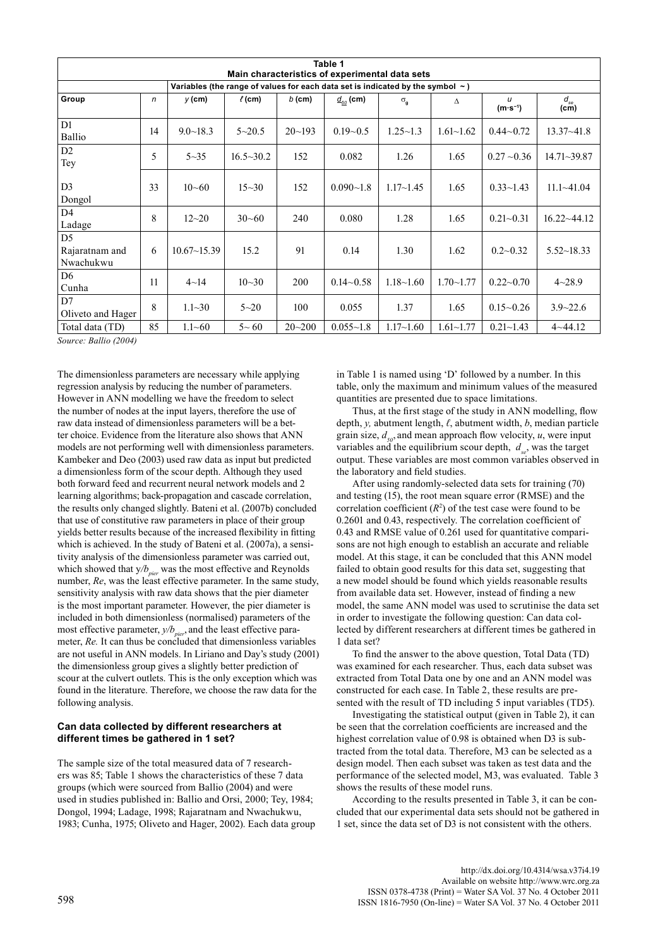| Table 1<br>Main characteristics of experimental data sets                            |              |                 |                  |            |                                 |                       |                  |                         |                              |  |
|--------------------------------------------------------------------------------------|--------------|-----------------|------------------|------------|---------------------------------|-----------------------|------------------|-------------------------|------------------------------|--|
| Variables (the range of values for each data set is indicated by the symbol $\sim$ ) |              |                 |                  |            |                                 |                       |                  |                         |                              |  |
| Group                                                                                | $\mathsf{n}$ | $y$ (cm)        | $\ell$ (cm)      | $b$ (cm)   | $\underline{d}_{\kappa_0}$ (cm) | $\sigma_{\mathsf{q}}$ | Δ                | u<br>$(m \cdot s^{-1})$ | $\frac{d_{se}}{(\text{cm})}$ |  |
| D1<br>Ballio                                                                         | 14           | $9.0 \sim 18.3$ | $5 - 20.5$       | $20 - 193$ | $0.19 - 0.5$                    | $1.25 - 1.3$          | $1.61 - 1.62$    | $0.44 - 0.72$           | $13.37 - 41.8$               |  |
| D <sub>2</sub><br>Tey                                                                | 5            | $5 - 35$        | $16.5 \sim 30.2$ | 152        | 0.082                           | 1.26                  | 1.65             | $0.27 - 0.36$           | $14.71 - 39.87$              |  |
| D <sub>3</sub><br>Dongol                                                             | 33           | $10 - 60$       | $15 - 30$        | 152        | $0.090 - 1.8$                   | $1.17 - 1.45$         | 1.65             | $0.33 - 1.43$           | $11.1 - 41.04$               |  |
| D <sub>4</sub><br>Ladage                                                             | 8            | $12 - 20$       | $30 - 60$        | 240        | 0.080                           | 1.28                  | 1.65             | $0.21 - 0.31$           | $16.22 - 44.12$              |  |
| D <sub>5</sub><br>Rajaratnam and<br>Nwachukwu                                        | 6            | $10.67 - 15.39$ | 15.2             | 91         | 0.14                            | 1.30                  | 1.62             | $0.2 - 0.32$            | $5.52 \sim 18.33$            |  |
| D <sub>6</sub><br>Cunha                                                              | 11           | $4 - 14$        | $10 - 30$        | 200        | $0.14 - 0.58$                   | $1.18 - 1.60$         | $1.70 - 1.77$    | $0.22 - 0.70$           | $4 - 28.9$                   |  |
| D7<br>Oliveto and Hager                                                              | 8            | $1.1 - 30$      | $5 - 20$         | 100        | 0.055                           | 1.37                  | 1.65             | $0.15 - 0.26$           | $3.9 - 22.6$                 |  |
| Total data (TD)                                                                      | 85           | $1.1 - 60$      | $5 - 60$         | $20 - 200$ | $0.055 - 1.8$                   | $1.17 - 1.60$         | $1.61 \sim 1.77$ | $0.21 - 1.43$           | $4 - 44.12$                  |  |

*Source: Ballio (2004)* 

The dimensionless parameters are necessary while applying regression analysis by reducing the number of parameters. However in ANN modelling we have the freedom to select the number of nodes at the input layers, therefore the use of raw data instead of dimensionless parameters will be a better choice. Evidence from the literature also shows that ANN models are not performing well with dimensionless parameters. Kambeker and Deo (2003) used raw data as input but predicted a dimensionless form of the scour depth. Although they used both forward feed and recurrent neural network models and 2 learning algorithms; back-propagation and cascade correlation, the results only changed slightly. Bateni et al. (2007b) concluded that use of constitutive raw parameters in place of their group yields better results because of the increased flexibility in fitting which is achieved. In the study of Bateni et al. (2007a), a sensitivity analysis of the dimensionless parameter was carried out, which showed that  $y/b_{\text{pier}}$  was the most effective and Reynolds number, *Re*, was the least effective parameter. In the same study, sensitivity analysis with raw data shows that the pier diameter is the most important parameter. However, the pier diameter is included in both dimensionless (normalised) parameters of the most effective parameter,  $y/b_{\text{micro}}$ , and the least effective parameter, *Re.* It can thus be concluded that dimensionless variables are not useful in ANN models. In Liriano and Day's study (2001) the dimensionless group gives a slightly better prediction of scour at the culvert outlets. This is the only exception which was found in the literature. Therefore, we choose the raw data for the following analysis.

### **Can data collected by different researchers at different times be gathered in 1 set?**

The sample size of the total measured data of 7 researchers was 85; Table 1 shows the characteristics of these 7 data groups (which were sourced from Ballio (2004) and were used in studies published in: Ballio and Orsi, 2000; Tey, 1984; Dongol, 1994; Ladage, 1998; Rajaratnam and Nwachukwu, 1983; Cunha, 1975; Oliveto and Hager, 2002). Each data group in Table 1 is named using 'D' followed by a number. In this table, only the maximum and minimum values of the measured quantities are presented due to space limitations.

Thus, at the first stage of the study in ANN modelling, flow depth, *y,* abutment length, *ℓ*, abutment width, *b*, median particle grain size,  $d_{50}$  and mean approach flow velocity,  $u$ , were input variables and the equilibrium scour depth,  $d_{se}$ , was the target output. These variables are most common variables observed in the laboratory and field studies.

After using randomly-selected data sets for training (70) and testing (15), the root mean square error (RMSE) and the correlation coefficient  $(R^2)$  of the test case were found to be 0.2601 and 0.43, respectively. The correlation coefficient of 0.43 and RMSE value of 0.261 used for quantitative comparisons are not high enough to establish an accurate and reliable model. At this stage, it can be concluded that this ANN model failed to obtain good results for this data set, suggesting that a new model should be found which yields reasonable results from available data set. However, instead of finding a new model, the same ANN model was used to scrutinise the data set in order to investigate the following question: Can data collected by different researchers at different times be gathered in 1 data set?

To find the answer to the above question, Total Data (TD) was examined for each researcher. Thus, each data subset was extracted from Total Data one by one and an ANN model was constructed for each case. In Table 2, these results are presented with the result of TD including 5 input variables (TD5).

Investigating the statistical output (given in Table 2), it can be seen that the correlation coefficients are increased and the highest correlation value of 0.98 is obtained when D3 is subtracted from the total data. Therefore, M3 can be selected as a design model. Then each subset was taken as test data and the performance of the selected model, M3, was evaluated. Table 3 shows the results of these model runs.

According to the results presented in Table 3, it can be concluded that our experimental data sets should not be gathered in 1 set, since the data set of D3 is not consistent with the others.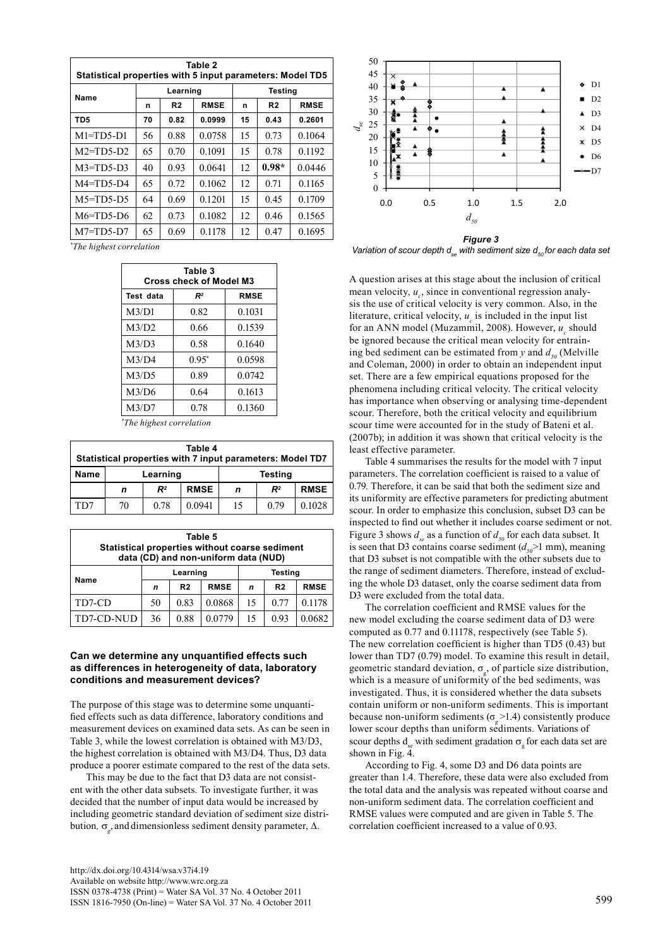| Table 2<br>Statistical properties with 5 input parameters: Model TD5 |                     |          |             |                |                |             |  |  |  |
|----------------------------------------------------------------------|---------------------|----------|-------------|----------------|----------------|-------------|--|--|--|
| Name                                                                 |                     | Learning |             | <b>Testing</b> |                |             |  |  |  |
|                                                                      | R <sub>2</sub><br>n |          | <b>RMSE</b> | n              | R <sub>2</sub> | <b>RMSE</b> |  |  |  |
| TD5                                                                  | 70                  | 0.82     | 0.0999      | 15             | 0.43           | 0.2601      |  |  |  |
| $M1 = TD5-D1$                                                        | 56                  | 0.88     | 0.0758      | 15             | 0.73           | 0.1064      |  |  |  |
| $M2 = TD5-D2$                                                        | 65                  | 0.70     | 0.1091      | 15             | 0.78           | 0.1192      |  |  |  |
| $M3 = TD5-D3$                                                        | 40                  | 0.93     | 0.0641      | 12             | $0.98*$        | 0.0446      |  |  |  |
| $M4 = TD5-D4$                                                        | 65                  | 0.72     | 0.1062      | 12             | 0.71           | 0.1165      |  |  |  |
| $M5 = TD5-D5$                                                        | 64                  | 0.69     | 0.1201      | 15             | 0.45           | 0.1709      |  |  |  |
| $M6 = TD5-D6$                                                        | 62                  | 0.73     | 0.1082      | 12             | 0.46           | 0.1565      |  |  |  |
| $M7 = T D5-D7$                                                       | 65                  | 0.69     | 0.1178      | 12             | 0.47           | 0.1695      |  |  |  |

*\* The highest correlation*

| Table 3<br><b>Cross check of Model M3</b> |         |        |  |  |  |  |  |
|-------------------------------------------|---------|--------|--|--|--|--|--|
| $R^2$<br><b>RMSE</b><br>Test data         |         |        |  |  |  |  |  |
| M3/D1                                     | 0.82    | 0.1031 |  |  |  |  |  |
| M3/D2                                     | 0.66    | 0.1539 |  |  |  |  |  |
| M3/D3                                     | 0.58    | 0.1640 |  |  |  |  |  |
| M3/D4                                     | $0.95*$ | 0.0598 |  |  |  |  |  |
| M3/D5                                     | 0.89    | 0.0742 |  |  |  |  |  |
| M3/D6                                     | 0.64    | 0.1613 |  |  |  |  |  |
| M3/D7                                     | 0.78    | 0.1360 |  |  |  |  |  |

*\* The highest correlation* 

| Table 4<br>Statistical properties with 7 input parameters: Model TD7 |                           |          |        |         |                |             |  |  |  |
|----------------------------------------------------------------------|---------------------------|----------|--------|---------|----------------|-------------|--|--|--|
| Name                                                                 |                           | Learning |        | Testing |                |             |  |  |  |
|                                                                      | <b>RMSE</b><br>$R^2$<br>n |          |        | n       | R <sup>2</sup> | <b>RMSE</b> |  |  |  |
| TD7                                                                  | 70                        | 0.78     | 0.0941 | 15      | 0.79           | 0.1028      |  |  |  |

| Table 5<br>Statistical properties without coarse sediment<br>data (CD) and non-uniform data (NUD) |    |                |             |         |                |             |  |  |
|---------------------------------------------------------------------------------------------------|----|----------------|-------------|---------|----------------|-------------|--|--|
| Name                                                                                              |    | Learning       |             | Testing |                |             |  |  |
|                                                                                                   | n  | R <sub>2</sub> | <b>RMSE</b> | n       | R <sub>2</sub> | <b>RMSE</b> |  |  |
| TD7-CD                                                                                            | 50 | 0.83           | 0.0868      | 15      | 0.77           | 0.1178      |  |  |
| TD7-CD-NUD                                                                                        | 36 | 0.88           | 0.0779      | 15      | 0.93           | 0.0682      |  |  |

### **Can we determine any unquantified effects such as differences in heterogeneity of data, laboratory conditions and measurement devices?**

The purpose of this stage was to determine some unquantified effects such as data difference, laboratory conditions and measurement devices on examined data sets. As can be seen in Table 3, while the lowest correlation is obtained with M3/D3, the highest correlation is obtained with M3/D4. Thus, D3 data produce a poorer estimate compared to the rest of the data sets.

This may be due to the fact that D3 data are not consistent with the other data subsets. To investigate further, it was decided that the number of input data would be increased by including geometric standard deviation of sediment size distribution,  $\sigma_{g}$ , and dimensionless sediment density parameter,  $\Delta$ .



*Figure 3 Variation of scour depth d<sub>se</sub> with sediment size d<sub>50</sub> for each data set* 

A question arises at this stage about the inclusion of critical mean velocity,  $u_c$ , since in conventional regression analysis the use of critical velocity is very common. Also, in the literature, critical velocity,  $u_c$  is included in the input list for an ANN model (Muzammil, 2008). However,  $u_c$  should be ignored because the critical mean velocity for entraining bed sediment can be estimated from  $y$  and  $d_{50}$  (Melville and Coleman, 2000) in order to obtain an independent input set. There are a few empirical equations proposed for the phenomena including critical velocity. The critical velocity has importance when observing or analysing time-dependent scour. Therefore, both the critical velocity and equilibrium scour time were accounted for in the study of Bateni et al. (2007b); in addition it was shown that critical velocity is the least effective parameter.

Table 4 summarises the results for the model with 7 input parameters. The correlation coefficient is raised to a value of 0.79. Therefore, it can be said that both the sediment size and its uniformity are effective parameters for predicting abutment scour. In order to emphasize this conclusion, subset D3 can be inspected to find out whether it includes coarse sediment or not. Figure 3 shows  $d_{\mu}$  as a function of  $d_{50}$  for each data subset. It is seen that D3 contains coarse sediment  $(d_{50} > 1$  mm), meaning that D3 subset is not compatible with the other subsets due to the range of sediment diameters. Therefore, instead of excluding the whole D3 dataset, only the coarse sediment data from D3 were excluded from the total data.

The correlation coefficient and RMSE values for the new model excluding the coarse sediment data of D3 were computed as 0.77 and 0.11178, respectively (see Table 5). The new correlation coefficient is higher than TD5 (0.43) but lower than TD7 (0.79) model. To examine this result in detail, geometric standard deviation,  $\sigma_{g}$ , of particle size distribution, which is a measure of uniformity of the bed sediments, was investigated. Thus, it is considered whether the data subsets contain uniform or non-uniform sediments. This is important because non-uniform sediments  $(\sigma_{\phi} > 1.4)$  consistently produce lower scour depths than uniform sediments. Variations of scour depths d<sub>se</sub> with sediment gradation  $\sigma_s$  for each data set are shown in Fig. 4.

According to Fig. 4, some D3 and D6 data points are greater than 1.4. Therefore, these data were also excluded from the total data and the analysis was repeated without coarse and non-uniform sediment data. The correlation coefficient and RMSE values were computed and are given in Table 5. The correlation coefficient increased to a value of 0.93.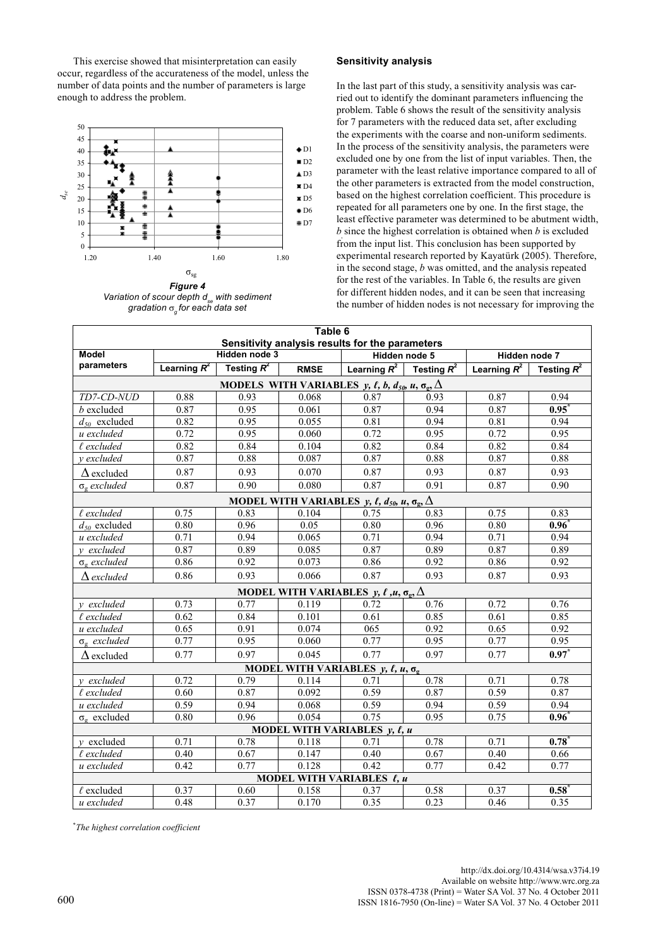This exercise showed that misinterpretation can easily occur, regardless of the accurateness of the model, unless the number of data points and the number of parameters is large enough to address the problem.





## **Sensitivity analysis**

In the last part of this study, a sensitivity analysis was carried out to identify the dominant parameters influencing the problem. Table 6 shows the result of the sensitivity analysis for 7 parameters with the reduced data set, after excluding the experiments with the coarse and non-uniform sediments. In the process of the sensitivity analysis, the parameters were excluded one by one from the list of input variables. Then, the parameter with the least relative importance compared to all of the other parameters is extracted from the model construction, based on the highest correlation coefficient. This procedure is repeated for all parameters one by one. In the first stage, the least effective parameter was determined to be abutment width, *b*, since the highest correlation is obtained when *b* is excluded from the input list. This conclusion has been supported by experimental research reported by Kayatürk (2005). Therefore, in the second stage, *b* was omitted, and the analysis repeated for the rest of the variables. In Table 6, the results are given for different hidden nodes, and it can be seen that increasing the number of hidden nodes is not necessary for improving the

| Table 6<br>Sensitivity analysis results for the parameters                       |                |                              |       |                                                     |      |                                              |                  |  |  |  |  |
|----------------------------------------------------------------------------------|----------------|------------------------------|-------|-----------------------------------------------------|------|----------------------------------------------|------------------|--|--|--|--|
| <b>Model</b>                                                                     |                | <b>Hidden node 3</b>         |       | Hidden node 5                                       |      | Hidden node 7                                |                  |  |  |  |  |
| parameters                                                                       | Learning $R^2$ | Testing $R^2$<br><b>RMSE</b> |       | Learning $R^2$ Testing $R^2$                        |      | Learning $R^2$<br>Testing $\boldsymbol{R}^2$ |                  |  |  |  |  |
| MODELS WITH VARIABLES y, $\ell$ , $b$ , $d_{50}$ , $u$ , $\sigma_{g}$ , $\Delta$ |                |                              |       |                                                     |      |                                              |                  |  |  |  |  |
| TD7-CD-NUD                                                                       | 0.88           | 0.93                         | 0.068 | 0.87                                                | 0.93 | 0.87                                         | 0.94             |  |  |  |  |
| $b$ excluded                                                                     | 0.87           | 0.95                         | 0.061 | 0.87                                                | 0.94 | 0.87                                         | $0.95^{\degree}$ |  |  |  |  |
| $d_{50}$ excluded                                                                | 0.82           | 0.95                         | 0.055 | 0.81                                                | 0.94 | 0.81                                         | 0.94             |  |  |  |  |
| u excluded                                                                       | 0.72           | 0.95                         | 0.060 | 0.72                                                | 0.95 | 0.72                                         | 0.95             |  |  |  |  |
| $\ell$ excluded                                                                  | 0.82           | 0.84                         | 0.104 | 0.82                                                | 0.84 | 0.82                                         | 0.84             |  |  |  |  |
| $y$ excluded                                                                     | 0.87           | 0.88                         | 0.087 | 0.87                                                | 0.88 | 0.87                                         | 0.88             |  |  |  |  |
| $\Delta$ excluded                                                                | 0.87           | 0.93                         | 0.070 | 0.87                                                | 0.93 | 0.87                                         | 0.93             |  |  |  |  |
| $\sigma_{\rm g}$ excluded                                                        | 0.87           | 0.90                         | 0.080 | 0.87                                                | 0.91 | 0.87                                         | 0.90             |  |  |  |  |
| MODEL WITH VARIABLES y, $\ell$ , $d_{50}$ , $u$ , $\sigma_g$ , $\Delta$          |                |                              |       |                                                     |      |                                              |                  |  |  |  |  |
| $\ell$ excluded                                                                  | 0.75           | 0.83                         | 0.104 | 0.75                                                | 0.83 | 0.75                                         | 0.83             |  |  |  |  |
| $d_{50}$ excluded                                                                | 0.80           | 0.96                         | 0.05  | $0.80\,$                                            | 0.96 | $\overline{0.80}$                            | $0.96^{*}$       |  |  |  |  |
| u excluded                                                                       | 0.71           | 0.94                         | 0.065 | 0.71                                                | 0.94 | 0.71                                         | 0.94             |  |  |  |  |
| v excluded                                                                       | 0.87           | 0.89                         | 0.085 | 0.87                                                | 0.89 | 0.87                                         | 0.89             |  |  |  |  |
| $\sigma_{\rm g}$ excluded                                                        | 0.86           | 0.92                         | 0.073 | 0.86                                                | 0.92 | 0.86                                         | 0.92             |  |  |  |  |
| $\Delta$ excluded                                                                | 0.86           | 0.93                         | 0.066 | 0.87                                                | 0.93 | 0.87                                         | 0.93             |  |  |  |  |
|                                                                                  |                |                              |       | MODEL WITH VARIABLES $y, \ell, u, \sigma_g, \Delta$ |      |                                              |                  |  |  |  |  |
| v excluded                                                                       | 0.73           | 0.77                         | 0.119 | 0.72                                                | 0.76 | 0.72                                         | 0.76             |  |  |  |  |
| $\ell$ excluded                                                                  | 0.62           | 0.84                         | 0.101 | 0.61                                                | 0.85 | 0.61                                         | 0.85             |  |  |  |  |
| u excluded                                                                       | 0.65           | 0.91                         | 0.074 | 065                                                 | 0.92 | 0.65                                         | 0.92             |  |  |  |  |
| $\sigma_{\rm g}$ excluded                                                        | 0.77           | 0.95                         | 0.060 | 0.77                                                | 0.95 | 0.77                                         | 0.95             |  |  |  |  |
| $\Delta$ excluded                                                                | 0.77           | 0.97                         | 0.045 | 0.77                                                | 0.97 | 0.77                                         | $0.97^{*}$       |  |  |  |  |
|                                                                                  |                |                              |       | MODEL WITH VARIABLES $y, \ell, u, \sigma_g$         |      |                                              |                  |  |  |  |  |
| $y$ excluded                                                                     | 0.72           | 0.79                         | 0.114 | 0.71                                                | 0.78 | 0.71                                         | 0.78             |  |  |  |  |
| $\ell$ excluded                                                                  | 0.60           | 0.87                         | 0.092 | 0.59                                                | 0.87 | 0.59                                         | 0.87             |  |  |  |  |
| $u$ excluded                                                                     | 0.59           | 0.94                         | 0.068 | 0.59                                                | 0.94 | 0.59                                         | 0.94             |  |  |  |  |
| $\sigma_{\rm g}$ excluded                                                        | 0.80           | 0.96                         | 0.054 | 0.75                                                | 0.95 | 0.75                                         | 0.96             |  |  |  |  |
| MODEL WITH VARIABLES y, t, u                                                     |                |                              |       |                                                     |      |                                              |                  |  |  |  |  |
| $\nu$ excluded                                                                   | 0.71           | 0.78                         | 0.118 | 0.71                                                | 0.78 | 0.71                                         | 0.78             |  |  |  |  |
| $\ell$ excluded                                                                  | 0.40           | 0.67                         | 0.147 | 0.40                                                | 0.67 | 0.40                                         | 0.66             |  |  |  |  |
| u excluded                                                                       | 0.42           | 0.77                         | 0.128 | 0.42                                                | 0.77 | 0.42                                         | 0.77             |  |  |  |  |
| MODEL WITH VARIABLES $\ell$ , u                                                  |                |                              |       |                                                     |      |                                              |                  |  |  |  |  |
| $\ell$ excluded                                                                  | 0.37           | $0.60\,$                     | 0.158 | 0.37                                                | 0.58 | 0.37                                         | 0.58             |  |  |  |  |
| u excluded                                                                       | 0.48           | 0.37                         | 0.170 | 0.35                                                | 0.23 | 0.46                                         | 0.35             |  |  |  |  |

**\*** *The highest correlation coefficient*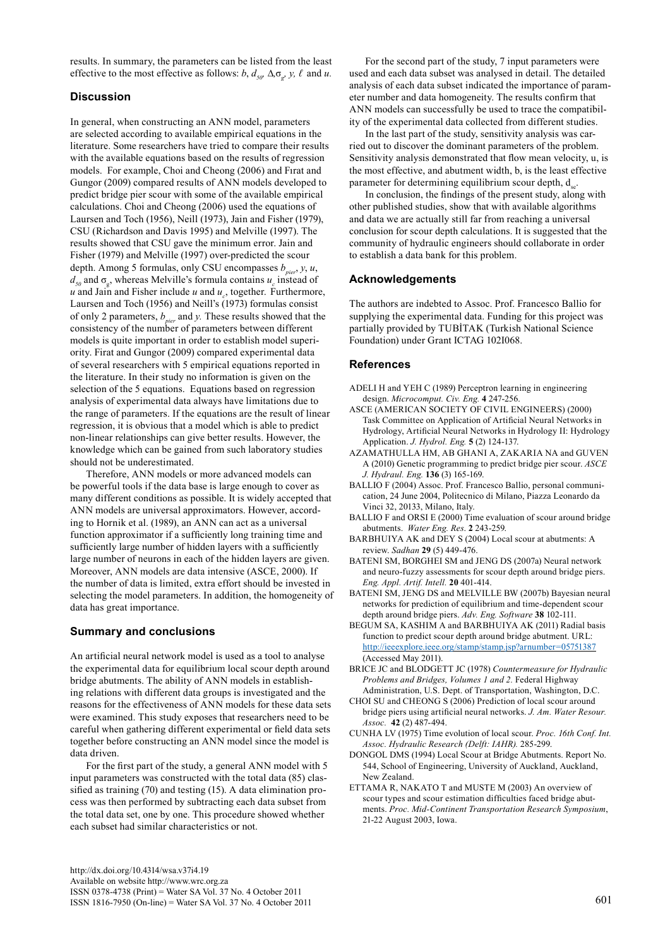results. In summary, the parameters can be listed from the least effective to the most effective as follows: *b*,  $d_{50}$ ,  $\Delta$ , $\sigma_g$ , *y*,  $\ell$  and *u*.

# **Discussion**

In general, when constructing an ANN model, parameters are selected according to available empirical equations in the literature. Some researchers have tried to compare their results with the available equations based on the results of regression models. For example, Choi and Cheong (2006) and Fırat and Gungor (2009) compared results of ANN models developed to predict bridge pier scour with some of the available empirical calculations. Choi and Cheong (2006) used the equations of Laursen and Toch (1956), Neill (1973), Jain and Fisher (1979), CSU (Richardson and Davis 1995) and Melville (1997). The results showed that CSU gave the minimum error. Jain and Fisher (1979) and Melville (1997) over-predicted the scour depth. Among 5 formulas, only CSU encompasses  $b_{\text{min}}$ ,  $y$ ,  $u$ ,  $d_{50}$  and  $\sigma_{\rm g}$ , whereas Melville's formula contains  $u_c$  instead of  $u$  and Jain and Fisher include  $u$  and  $u_c$ , together. Furthermore, Laursen and Toch (1956) and Neill's (1973) formulas consist of only 2 parameters,  $b_{\text{nier}}$  and *y*. These results showed that the consistency of the number of parameters between different models is quite important in order to establish model superiority. Firat and Gungor (2009) compared experimental data of several researchers with 5 empirical equations reported in the literature. In their study no information is given on the selection of the 5 equations. Equations based on regression analysis of experimental data always have limitations due to the range of parameters. If the equations are the result of linear regression, it is obvious that a model which is able to predict non-linear relationships can give better results. However, the knowledge which can be gained from such laboratory studies should not be underestimated.

Therefore, ANN models or more advanced models can be powerful tools if the data base is large enough to cover as many different conditions as possible. It is widely accepted that ANN models are universal approximators. However, according to Hornik et al. (1989), an ANN can act as a universal function approximator if a sufficiently long training time and sufficiently large number of hidden layers with a sufficiently large number of neurons in each of the hidden layers are given. Moreover, ANN models are data intensive (ASCE, 2000). If the number of data is limited, extra effort should be invested in selecting the model parameters. In addition, the homogeneity of data has great importance.

### **Summary and conclusions**

An artificial neural network model is used as a tool to analyse the experimental data for equilibrium local scour depth around bridge abutments. The ability of ANN models in establishing relations with different data groups is investigated and the reasons for the effectiveness of ANN models for these data sets were examined. This study exposes that researchers need to be careful when gathering different experimental or field data sets together before constructing an ANN model since the model is data driven.

For the first part of the study, a general ANN model with 5 input parameters was constructed with the total data (85) classified as training (70) and testing (15). A data elimination process was then performed by subtracting each data subset from the total data set, one by one. This procedure showed whether each subset had similar characteristics or not.

For the second part of the study, 7 input parameters were used and each data subset was analysed in detail. The detailed analysis of each data subset indicated the importance of parameter number and data homogeneity. The results confirm that ANN models can successfully be used to trace the compatibility of the experimental data collected from different studies.

In the last part of the study, sensitivity analysis was carried out to discover the dominant parameters of the problem. Sensitivity analysis demonstrated that flow mean velocity, u, is the most effective, and abutment width, b, is the least effective parameter for determining equilibrium scour depth,  $d_{\alpha}$ .

In conclusion, the findings of the present study, along with other published studies, show that with available algorithms and data we are actually still far from reaching a universal conclusion for scour depth calculations. It is suggested that the community of hydraulic engineers should collaborate in order to establish a data bank for this problem.

## **Acknowledgements**

The authors are indebted to Assoc. Prof. Francesco Ballio for supplying the experimental data. Funding for this project was partially provided by TUBİTAK (Turkish National Science Foundation) under Grant ICTAG 102I068.

# **References**

- ADELI H and YEH C (1989) Perceptron learning in engineering design. *Microcomput. Civ. Eng.* **4** 247-256.
- ASCE (AMERICAN SOCIETY OF CIVIL ENGINEERS) (2000) Task Committee on Application of Artificial Neural Networks in Hydrology, Artificial Neural Networks in Hydrology II: Hydrology Application. *J. Hydrol. Eng.* **5** (2) 124-137.
- AZAMATHULLA HM, AB GHANI A, ZAKARIA NA and GUVEN A (2010) Genetic programming to predict bridge pier scour. *ASCE J. Hydraul. Eng.* **136** (3) 165-169.
- BALLIO F (2004) Assoc. Prof. Francesco Ballio, personal communication, 24 June 2004, Politecnico di Milano, Piazza Leonardo da Vinci 32, 20133, Milano, Italy.
- BALLIO F and ORSI E (2000) Time evaluation of scour around bridge abutments. *Water Eng. Res*. **2** 243-259.
- BARBHUIYA AK and DEY S (2004) Local scour at abutments: A review. *Sadhan* **29** (5) 449-476.
- BATENI SM, BORGHEI SM and JENG DS (2007a) Neural network and neuro-fuzzy assessments for scour depth around bridge piers. *Eng. Appl. Artif. Intell.* **20** 401-414.
- BATENI SM, JENG DS and MELVILLE BW (2007b) Bayesian neural networks for prediction of equilibrium and time-dependent scour depth around bridge piers. *Adv. Eng. Software* **38** 102-111.
- BEGUM SA, KASHIM A and BARBHUIYA AK (2011) Radial basis function to predict scour depth around bridge abutment. URL: http://ieeexplore.ieee.org/stamp/stamp.jsp?arnumber=05751387 (Accessed May 2011).
- BRICE JC and BLODGETT JC (1978) *Countermeasure for Hydraulic Problems and Bridges, Volumes 1 and 2.* Federal Highway Administration, U.S. Dept. of Transportation, Washington, D.C.
- CHOI SU and CHEONG S (2006) Prediction of local scour around bridge piers using artificial neural networks. *J. Am. Water Resour. Assoc.* **42** (2) 487-494.
- CUNHA LV (1975) Time evolution of local scour. *Proc. 16th Conf. Int. Assoc. Hydraulic Research (Delft: IAHR).* 285-299.
- DONGOL DMS (1994) Local Scour at Bridge Abutments. Report No. 544, School of Engineering, University of Auckland, Auckland, New Zealand.
- ETTAMA R, NAKATO T and MUSTE M (2003) An overview of scour types and scour estimation difficulties faced bridge abutments. *Proc. Mid-Continent Transportation Research Symposium*, 21-22 August 2003, Iowa.